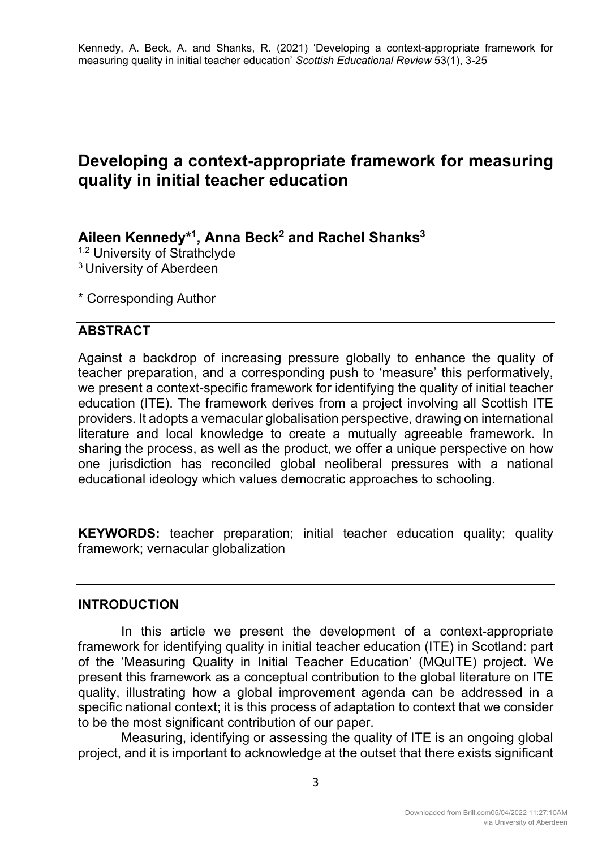# **Developing a context-appropriate framework for measuring quality in initial teacher education**

## **Aileen Kennedy\*1, Anna Beck2 and Rachel Shanks3**

<sup>1,2</sup> University of Strathclyde 3 University of Aberdeen

\* Corresponding Author

## **ABSTRACT**

Against a backdrop of increasing pressure globally to enhance the quality of teacher preparation, and a corresponding push to 'measure' this performatively, we present a context-specific framework for identifying the quality of initial teacher education (ITE). The framework derives from a project involving all Scottish ITE providers. It adopts a vernacular globalisation perspective, drawing on international literature and local knowledge to create a mutually agreeable framework. In sharing the process, as well as the product, we offer a unique perspective on how one jurisdiction has reconciled global neoliberal pressures with a national educational ideology which values democratic approaches to schooling.

**KEYWORDS:** teacher preparation; initial teacher education quality; quality framework; vernacular globalization

## **INTRODUCTION**

In this article we present the development of a context-appropriate framework for identifying quality in initial teacher education (ITE) in Scotland: part of the 'Measuring Quality in Initial Teacher Education' (MQuITE) project. We present this framework as a conceptual contribution to the global literature on ITE quality, illustrating how a global improvement agenda can be addressed in a specific national context; it is this process of adaptation to context that we consider to be the most significant contribution of our paper.

Measuring, identifying or assessing the quality of ITE is an ongoing global project, and it is important to acknowledge at the outset that there exists significant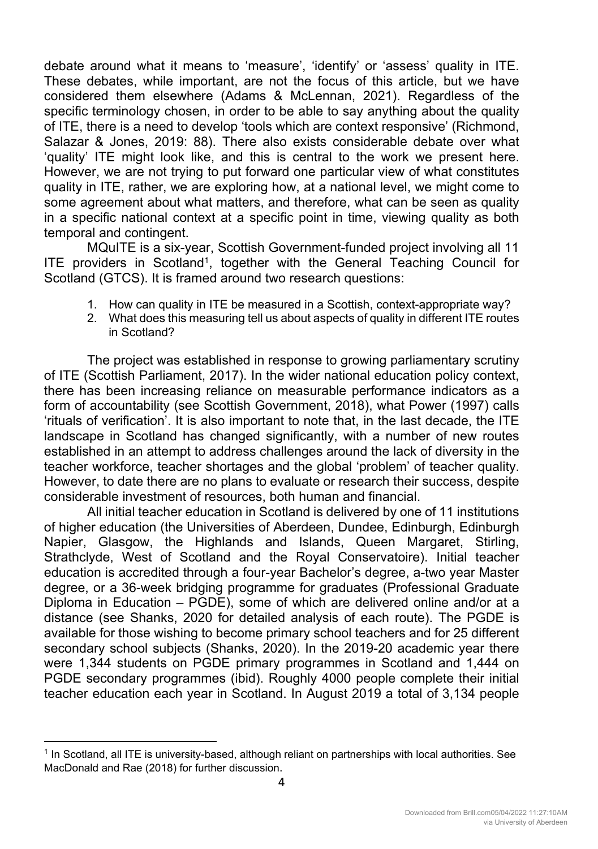debate around what it means to 'measure', 'identify' or 'assess' quality in ITE. These debates, while important, are not the focus of this article, but we have considered them elsewhere (Adams & McLennan, 2021). Regardless of the specific terminology chosen, in order to be able to say anything about the quality of ITE, there is a need to develop 'tools which are context responsive' (Richmond, Salazar & Jones, 2019: 88). There also exists considerable debate over what 'quality' ITE might look like, and this is central to the work we present here. However, we are not trying to put forward one particular view of what constitutes quality in ITE, rather, we are exploring how, at a national level, we might come to some agreement about what matters, and therefore, what can be seen as quality in a specific national context at a specific point in time, viewing quality as both temporal and contingent.

MQuITE is a six-year, Scottish Government-funded project involving all 11 ITE providers in Scotland<sup>1</sup>, together with the General Teaching Council for Scotland (GTCS). It is framed around two research questions:

- 1. How can quality in ITE be measured in a Scottish, context-appropriate way?
- 2. What does this measuring tell us about aspects of quality in different ITE routes in Scotland?

The project was established in response to growing parliamentary scrutiny of ITE (Scottish Parliament, 2017). In the wider national education policy context, there has been increasing reliance on measurable performance indicators as a form of accountability (see Scottish Government, 2018), what Power (1997) calls 'rituals of verification'. It is also important to note that, in the last decade, the ITE landscape in Scotland has changed significantly, with a number of new routes established in an attempt to address challenges around the lack of diversity in the teacher workforce, teacher shortages and the global 'problem' of teacher quality. However, to date there are no plans to evaluate or research their success, despite considerable investment of resources, both human and financial.

All initial teacher education in Scotland is delivered by one of 11 institutions of higher education (the Universities of Aberdeen, Dundee, Edinburgh, Edinburgh Napier, Glasgow, the Highlands and Islands, Queen Margaret, Stirling, Strathclyde, West of Scotland and the Royal Conservatoire). Initial teacher education is accredited through a four-year Bachelor's degree, a-two year Master degree, or a 36-week bridging programme for graduates (Professional Graduate Diploma in Education – PGDE), some of which are delivered online and/or at a distance (see Shanks, 2020 for detailed analysis of each route). The PGDE is available for those wishing to become primary school teachers and for 25 different secondary school subjects (Shanks, 2020). In the 2019-20 academic year there were 1,344 students on PGDE primary programmes in Scotland and 1,444 on PGDE secondary programmes (ibid). Roughly 4000 people complete their initial teacher education each year in Scotland. In August 2019 a total of 3,134 people

<sup>1</sup> In Scotland, all ITE is university-based, although reliant on partnerships with local authorities. See MacDonald and Rae (2018) for further discussion.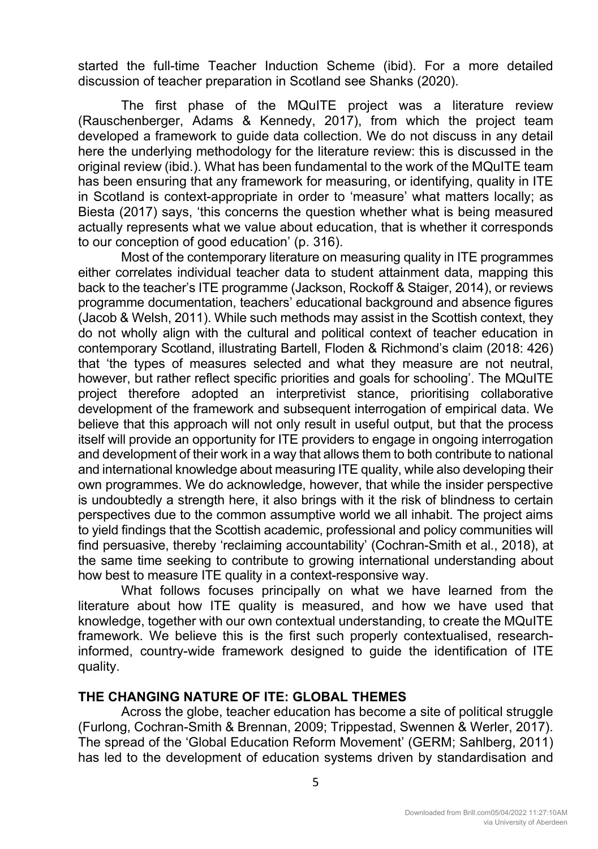started the full-time Teacher Induction Scheme (ibid). For a more detailed discussion of teacher preparation in Scotland see Shanks (2020).

The first phase of the MQuITE project was a literature review (Rauschenberger, Adams & Kennedy, 2017), from which the project team developed a framework to guide data collection. We do not discuss in any detail here the underlying methodology for the literature review: this is discussed in the original review (ibid.). What has been fundamental to the work of the MQuITE team has been ensuring that any framework for measuring, or identifying, quality in ITE in Scotland is context-appropriate in order to 'measure' what matters locally; as Biesta (2017) says, 'this concerns the question whether what is being measured actually represents what we value about education, that is whether it corresponds to our conception of good education' (p. 316).

Most of the contemporary literature on measuring quality in ITE programmes either correlates individual teacher data to student attainment data, mapping this back to the teacher's ITE programme (Jackson, Rockoff & Staiger, 2014), or reviews programme documentation, teachers' educational background and absence figures (Jacob & Welsh, 2011). While such methods may assist in the Scottish context, they do not wholly align with the cultural and political context of teacher education in contemporary Scotland, illustrating Bartell, Floden & Richmond's claim (2018: 426) that 'the types of measures selected and what they measure are not neutral, however, but rather reflect specific priorities and goals for schooling'. The MQuITE project therefore adopted an interpretivist stance, prioritising collaborative development of the framework and subsequent interrogation of empirical data. We believe that this approach will not only result in useful output, but that the process itself will provide an opportunity for ITE providers to engage in ongoing interrogation and development of their work in a way that allows them to both contribute to national and international knowledge about measuring ITE quality, while also developing their own programmes. We do acknowledge, however, that while the insider perspective is undoubtedly a strength here, it also brings with it the risk of blindness to certain perspectives due to the common assumptive world we all inhabit. The project aims to yield findings that the Scottish academic, professional and policy communities will find persuasive, thereby 'reclaiming accountability' (Cochran-Smith et al*.*, 2018), at the same time seeking to contribute to growing international understanding about how best to measure ITE quality in a context-responsive way.

What follows focuses principally on what we have learned from the literature about how ITE quality is measured, and how we have used that knowledge, together with our own contextual understanding, to create the MQuITE framework. We believe this is the first such properly contextualised, researchinformed, country-wide framework designed to guide the identification of ITE quality.

## **THE CHANGING NATURE OF ITE: GLOBAL THEMES**

Across the globe, teacher education has become a site of political struggle (Furlong, Cochran-Smith & Brennan, 2009; Trippestad, Swennen & Werler, 2017). The spread of the 'Global Education Reform Movement' (GERM; Sahlberg, 2011) has led to the development of education systems driven by standardisation and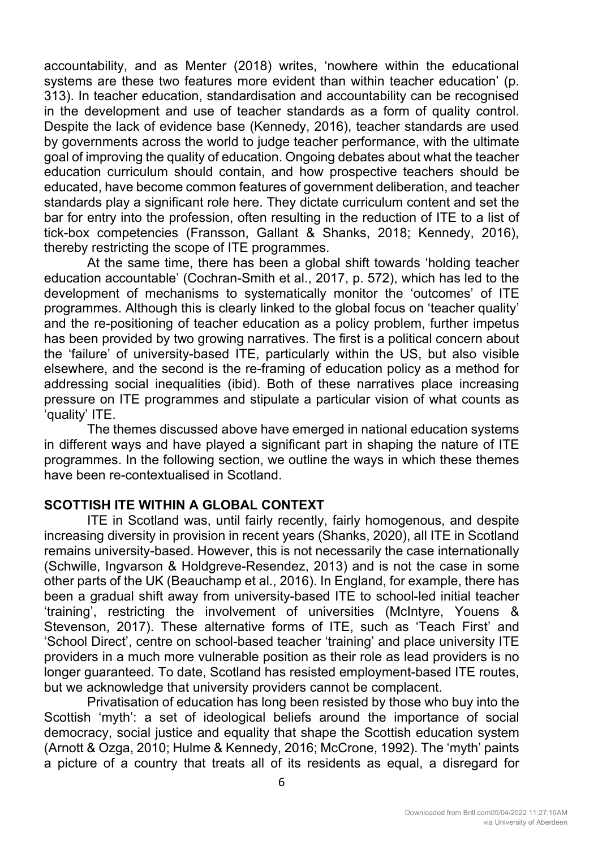accountability, and as Menter (2018) writes, 'nowhere within the educational systems are these two features more evident than within teacher education' (p. 313). In teacher education, standardisation and accountability can be recognised in the development and use of teacher standards as a form of quality control. Despite the lack of evidence base (Kennedy, 2016), teacher standards are used by governments across the world to judge teacher performance, with the ultimate goal of improving the quality of education. Ongoing debates about what the teacher education curriculum should contain, and how prospective teachers should be educated, have become common features of government deliberation, and teacher standards play a significant role here. They dictate curriculum content and set the bar for entry into the profession, often resulting in the reduction of ITE to a list of tick-box competencies (Fransson, Gallant & Shanks, 2018; Kennedy, 2016), thereby restricting the scope of ITE programmes.

At the same time, there has been a global shift towards 'holding teacher education accountable' (Cochran-Smith et al., 2017, p. 572), which has led to the development of mechanisms to systematically monitor the 'outcomes' of ITE programmes. Although this is clearly linked to the global focus on 'teacher quality' and the re-positioning of teacher education as a policy problem, further impetus has been provided by two growing narratives. The first is a political concern about the 'failure' of university-based ITE, particularly within the US, but also visible elsewhere, and the second is the re-framing of education policy as a method for addressing social inequalities (ibid). Both of these narratives place increasing pressure on ITE programmes and stipulate a particular vision of what counts as 'quality' ITE.

The themes discussed above have emerged in national education systems in different ways and have played a significant part in shaping the nature of ITE programmes. In the following section, we outline the ways in which these themes have been re-contextualised in Scotland.

## **SCOTTISH ITE WITHIN A GLOBAL CONTEXT**

ITE in Scotland was, until fairly recently, fairly homogenous, and despite increasing diversity in provision in recent years (Shanks, 2020), all ITE in Scotland remains university-based. However, this is not necessarily the case internationally (Schwille, Ingvarson & Holdgreve-Resendez, 2013) and is not the case in some other parts of the UK (Beauchamp et al., 2016). In England, for example, there has been a gradual shift away from university-based ITE to school-led initial teacher 'training', restricting the involvement of universities (McIntyre, Youens & Stevenson, 2017). These alternative forms of ITE, such as 'Teach First' and 'School Direct', centre on school-based teacher 'training' and place university ITE providers in a much more vulnerable position as their role as lead providers is no longer guaranteed. To date, Scotland has resisted employment-based ITE routes, but we acknowledge that university providers cannot be complacent.

Privatisation of education has long been resisted by those who buy into the Scottish 'myth': a set of ideological beliefs around the importance of social democracy, social justice and equality that shape the Scottish education system (Arnott & Ozga, 2010; Hulme & Kennedy, 2016; McCrone, 1992). The 'myth' paints a picture of a country that treats all of its residents as equal, a disregard for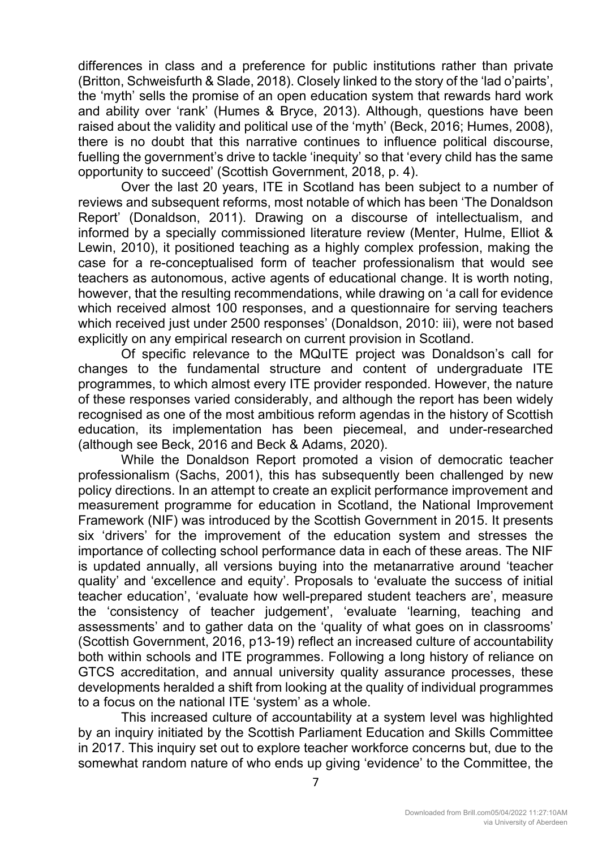differences in class and a preference for public institutions rather than private (Britton, Schweisfurth & Slade, 2018). Closely linked to the story of the 'lad o'pairts', the 'myth' sells the promise of an open education system that rewards hard work and ability over 'rank' (Humes & Bryce, 2013). Although, questions have been raised about the validity and political use of the 'myth' (Beck, 2016; Humes, 2008), there is no doubt that this narrative continues to influence political discourse, fuelling the government's drive to tackle 'inequity' so that 'every child has the same opportunity to succeed' (Scottish Government, 2018, p. 4).

Over the last 20 years, ITE in Scotland has been subject to a number of reviews and subsequent reforms, most notable of which has been 'The Donaldson Report' (Donaldson, 2011). Drawing on a discourse of intellectualism, and informed by a specially commissioned literature review (Menter, Hulme, Elliot & Lewin, 2010), it positioned teaching as a highly complex profession, making the case for a re-conceptualised form of teacher professionalism that would see teachers as autonomous, active agents of educational change. It is worth noting, however, that the resulting recommendations, while drawing on 'a call for evidence which received almost 100 responses, and a questionnaire for serving teachers which received just under 2500 responses' (Donaldson, 2010: iii), were not based explicitly on any empirical research on current provision in Scotland.

Of specific relevance to the MQuITE project was Donaldson's call for changes to the fundamental structure and content of undergraduate ITE programmes, to which almost every ITE provider responded. However, the nature of these responses varied considerably, and although the report has been widely recognised as one of the most ambitious reform agendas in the history of Scottish education, its implementation has been piecemeal, and under-researched (although see Beck, 2016 and Beck & Adams, 2020).

While the Donaldson Report promoted a vision of democratic teacher professionalism (Sachs, 2001), this has subsequently been challenged by new policy directions. In an attempt to create an explicit performance improvement and measurement programme for education in Scotland, the National Improvement Framework (NIF) was introduced by the Scottish Government in 2015. It presents six 'drivers' for the improvement of the education system and stresses the importance of collecting school performance data in each of these areas. The NIF is updated annually, all versions buying into the metanarrative around 'teacher quality' and 'excellence and equity'. Proposals to 'evaluate the success of initial teacher education', 'evaluate how well-prepared student teachers are', measure the 'consistency of teacher judgement', 'evaluate 'learning, teaching and assessments' and to gather data on the 'quality of what goes on in classrooms' (Scottish Government, 2016, p13-19) reflect an increased culture of accountability both within schools and ITE programmes. Following a long history of reliance on GTCS accreditation, and annual university quality assurance processes, these developments heralded a shift from looking at the quality of individual programmes to a focus on the national ITE 'system' as a whole.

This increased culture of accountability at a system level was highlighted by an inquiry initiated by the Scottish Parliament Education and Skills Committee in 2017. This inquiry set out to explore teacher workforce concerns but, due to the somewhat random nature of who ends up giving 'evidence' to the Committee, the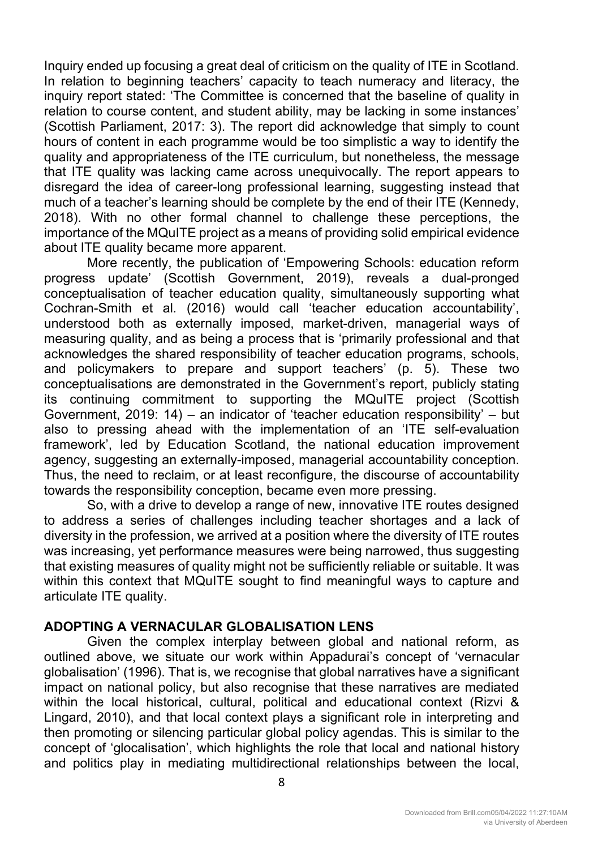Inquiry ended up focusing a great deal of criticism on the quality of ITE in Scotland. In relation to beginning teachers' capacity to teach numeracy and literacy, the inquiry report stated: 'The Committee is concerned that the baseline of quality in relation to course content, and student ability, may be lacking in some instances' (Scottish Parliament, 2017: 3). The report did acknowledge that simply to count hours of content in each programme would be too simplistic a way to identify the quality and appropriateness of the ITE curriculum, but nonetheless, the message that ITE quality was lacking came across unequivocally. The report appears to disregard the idea of career-long professional learning, suggesting instead that much of a teacher's learning should be complete by the end of their ITE (Kennedy, 2018). With no other formal channel to challenge these perceptions, the importance of the MQuITE project as a means of providing solid empirical evidence about ITE quality became more apparent.

More recently, the publication of 'Empowering Schools: education reform progress update' (Scottish Government, 2019), reveals a dual-pronged conceptualisation of teacher education quality, simultaneously supporting what Cochran-Smith et al*.* (2016) would call 'teacher education accountability', understood both as externally imposed, market-driven, managerial ways of measuring quality, and as being a process that is 'primarily professional and that acknowledges the shared responsibility of teacher education programs, schools, and policymakers to prepare and support teachers' (p. 5). These two conceptualisations are demonstrated in the Government's report, publicly stating its continuing commitment to supporting the MQuITE project (Scottish Government, 2019: 14) – an indicator of 'teacher education responsibility' – but also to pressing ahead with the implementation of an 'ITE self-evaluation framework', led by Education Scotland, the national education improvement agency, suggesting an externally-imposed, managerial accountability conception. Thus, the need to reclaim, or at least reconfigure, the discourse of accountability towards the responsibility conception, became even more pressing.

So, with a drive to develop a range of new, innovative ITE routes designed to address a series of challenges including teacher shortages and a lack of diversity in the profession, we arrived at a position where the diversity of ITE routes was increasing, yet performance measures were being narrowed, thus suggesting that existing measures of quality might not be sufficiently reliable or suitable. It was within this context that MQuITE sought to find meaningful ways to capture and articulate ITE quality.

## **ADOPTING A VERNACULAR GLOBALISATION LENS**

Given the complex interplay between global and national reform, as outlined above, we situate our work within Appadurai's concept of 'vernacular globalisation' (1996). That is, we recognise that global narratives have a significant impact on national policy, but also recognise that these narratives are mediated within the local historical, cultural, political and educational context (Rizvi & Lingard, 2010), and that local context plays a significant role in interpreting and then promoting or silencing particular global policy agendas. This is similar to the concept of 'glocalisation', which highlights the role that local and national history and politics play in mediating multidirectional relationships between the local,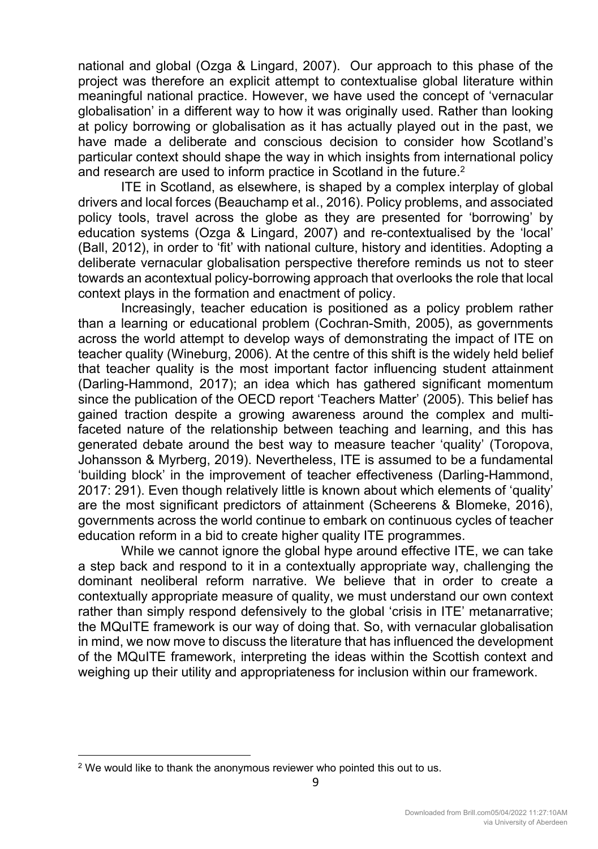national and global (Ozga & Lingard, 2007). Our approach to this phase of the project was therefore an explicit attempt to contextualise global literature within meaningful national practice. However, we have used the concept of 'vernacular globalisation' in a different way to how it was originally used. Rather than looking at policy borrowing or globalisation as it has actually played out in the past, we have made a deliberate and conscious decision to consider how Scotland's particular context should shape the way in which insights from international policy and research are used to inform practice in Scotland in the future.<sup>2</sup>

ITE in Scotland, as elsewhere, is shaped by a complex interplay of global drivers and local forces (Beauchamp et al., 2016). Policy problems, and associated policy tools, travel across the globe as they are presented for 'borrowing' by education systems (Ozga & Lingard, 2007) and re-contextualised by the 'local' (Ball, 2012), in order to 'fit' with national culture, history and identities. Adopting a deliberate vernacular globalisation perspective therefore reminds us not to steer towards an acontextual policy-borrowing approach that overlooks the role that local context plays in the formation and enactment of policy.

Increasingly, teacher education is positioned as a policy problem rather than a learning or educational problem (Cochran-Smith, 2005), as governments across the world attempt to develop ways of demonstrating the impact of ITE on teacher quality (Wineburg, 2006). At the centre of this shift is the widely held belief that teacher quality is the most important factor influencing student attainment (Darling-Hammond, 2017); an idea which has gathered significant momentum since the publication of the OECD report 'Teachers Matter' (2005). This belief has gained traction despite a growing awareness around the complex and multifaceted nature of the relationship between teaching and learning, and this has generated debate around the best way to measure teacher 'quality' (Toropova, Johansson & Myrberg, 2019). Nevertheless, ITE is assumed to be a fundamental 'building block' in the improvement of teacher effectiveness (Darling-Hammond, 2017: 291). Even though relatively little is known about which elements of 'quality' are the most significant predictors of attainment (Scheerens & Blomeke, 2016), governments across the world continue to embark on continuous cycles of teacher education reform in a bid to create higher quality ITE programmes.

While we cannot ignore the global hype around effective ITE, we can take a step back and respond to it in a contextually appropriate way, challenging the dominant neoliberal reform narrative. We believe that in order to create a contextually appropriate measure of quality, we must understand our own context rather than simply respond defensively to the global 'crisis in ITE' metanarrative; the MQuITE framework is our way of doing that. So, with vernacular globalisation in mind, we now move to discuss the literature that has influenced the development of the MQuITE framework, interpreting the ideas within the Scottish context and weighing up their utility and appropriateness for inclusion within our framework.

 $2$  We would like to thank the anonymous reviewer who pointed this out to us.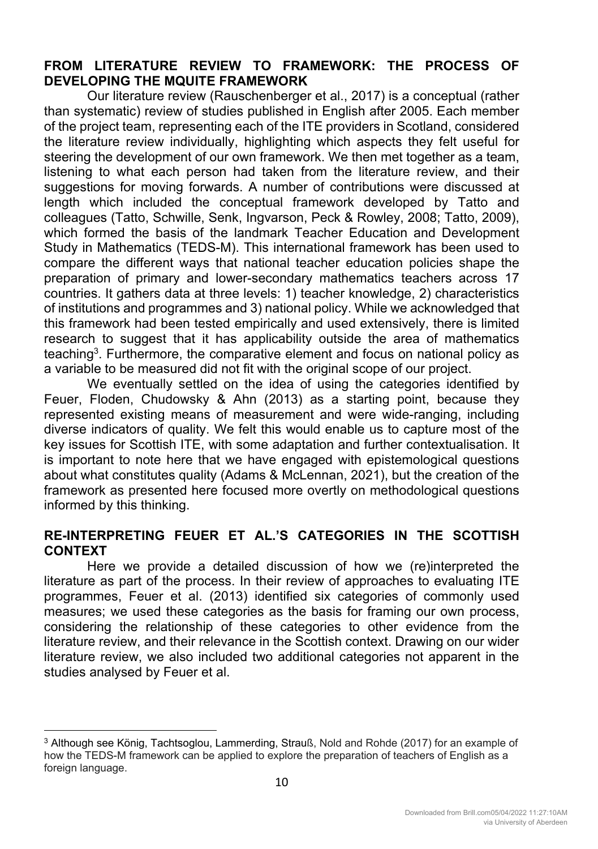## **FROM LITERATURE REVIEW TO FRAMEWORK: THE PROCESS OF DEVELOPING THE MQUITE FRAMEWORK**

Our literature review (Rauschenberger et al., 2017) is a conceptual (rather than systematic) review of studies published in English after 2005. Each member of the project team, representing each of the ITE providers in Scotland, considered the literature review individually, highlighting which aspects they felt useful for steering the development of our own framework. We then met together as a team, listening to what each person had taken from the literature review, and their suggestions for moving forwards. A number of contributions were discussed at length which included the conceptual framework developed by Tatto and colleagues (Tatto, Schwille, Senk, Ingvarson, Peck & Rowley, 2008; Tatto, 2009), which formed the basis of the landmark Teacher Education and Development Study in Mathematics (TEDS-M). This international framework has been used to compare the different ways that national teacher education policies shape the preparation of primary and lower-secondary mathematics teachers across 17 countries. It gathers data at three levels: 1) teacher knowledge, 2) characteristics of institutions and programmes and 3) national policy. While we acknowledged that this framework had been tested empirically and used extensively, there is limited research to suggest that it has applicability outside the area of mathematics teaching<sup>3</sup>. Furthermore, the comparative element and focus on national policy as a variable to be measured did not fit with the original scope of our project.

We eventually settled on the idea of using the categories identified by Feuer, Floden, Chudowsky & Ahn (2013) as a starting point, because they represented existing means of measurement and were wide-ranging, including diverse indicators of quality. We felt this would enable us to capture most of the key issues for Scottish ITE, with some adaptation and further contextualisation. It is important to note here that we have engaged with epistemological questions about what constitutes quality (Adams & McLennan, 2021), but the creation of the framework as presented here focused more overtly on methodological questions informed by this thinking.

## **RE-INTERPRETING FEUER ET AL.'S CATEGORIES IN THE SCOTTISH CONTEXT**

Here we provide a detailed discussion of how we (re)interpreted the literature as part of the process. In their review of approaches to evaluating ITE programmes, Feuer et al. (2013) identified six categories of commonly used measures; we used these categories as the basis for framing our own process, considering the relationship of these categories to other evidence from the literature review, and their relevance in the Scottish context. Drawing on our wider literature review, we also included two additional categories not apparent in the studies analysed by Feuer et al.

<sup>3</sup> Although see König, Tachtsoglou, Lammerding, Strauß, Nold and Rohde (2017) for an example of how the TEDS-M framework can be applied to explore the preparation of teachers of English as a foreign language.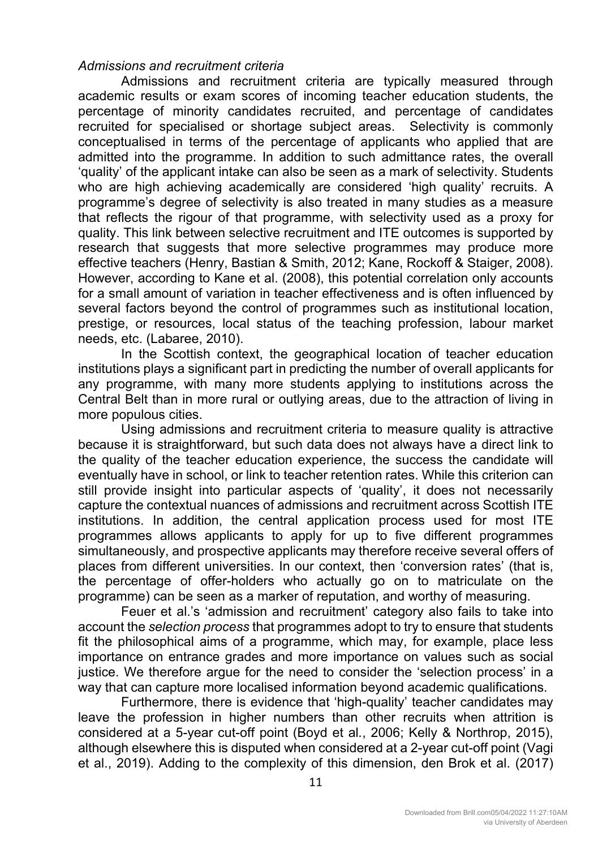## *Admissions and recruitment criteria*

Admissions and recruitment criteria are typically measured through academic results or exam scores of incoming teacher education students, the percentage of minority candidates recruited, and percentage of candidates recruited for specialised or shortage subject areas. Selectivity is commonly conceptualised in terms of the percentage of applicants who applied that are admitted into the programme. In addition to such admittance rates, the overall 'quality' of the applicant intake can also be seen as a mark of selectivity. Students who are high achieving academically are considered 'high quality' recruits. A programme's degree of selectivity is also treated in many studies as a measure that reflects the rigour of that programme, with selectivity used as a proxy for quality. This link between selective recruitment and ITE outcomes is supported by research that suggests that more selective programmes may produce more effective teachers (Henry, Bastian & Smith, 2012; Kane, Rockoff & Staiger, 2008). However, according to Kane et al. (2008), this potential correlation only accounts for a small amount of variation in teacher effectiveness and is often influenced by several factors beyond the control of programmes such as institutional location, prestige, or resources, local status of the teaching profession, labour market needs, etc. (Labaree, 2010).

In the Scottish context, the geographical location of teacher education institutions plays a significant part in predicting the number of overall applicants for any programme, with many more students applying to institutions across the Central Belt than in more rural or outlying areas, due to the attraction of living in more populous cities.

Using admissions and recruitment criteria to measure quality is attractive because it is straightforward, but such data does not always have a direct link to the quality of the teacher education experience, the success the candidate will eventually have in school, or link to teacher retention rates. While this criterion can still provide insight into particular aspects of 'quality', it does not necessarily capture the contextual nuances of admissions and recruitment across Scottish ITE institutions. In addition, the central application process used for most ITE programmes allows applicants to apply for up to five different programmes simultaneously, and prospective applicants may therefore receive several offers of places from different universities. In our context, then 'conversion rates' (that is, the percentage of offer-holders who actually go on to matriculate on the programme) can be seen as a marker of reputation, and worthy of measuring.

Feuer et al.'s 'admission and recruitment' category also fails to take into account the *selection process* that programmes adopt to try to ensure that students fit the philosophical aims of a programme, which may, for example, place less importance on entrance grades and more importance on values such as social justice. We therefore argue for the need to consider the 'selection process' in a way that can capture more localised information beyond academic qualifications.

Furthermore, there is evidence that 'high-quality' teacher candidates may leave the profession in higher numbers than other recruits when attrition is considered at a 5-year cut-off point (Boyd et al*.*, 2006; Kelly & Northrop, 2015), although elsewhere this is disputed when considered at a 2-year cut-off point (Vagi et al., 2019). Adding to the complexity of this dimension, den Brok et al. (2017)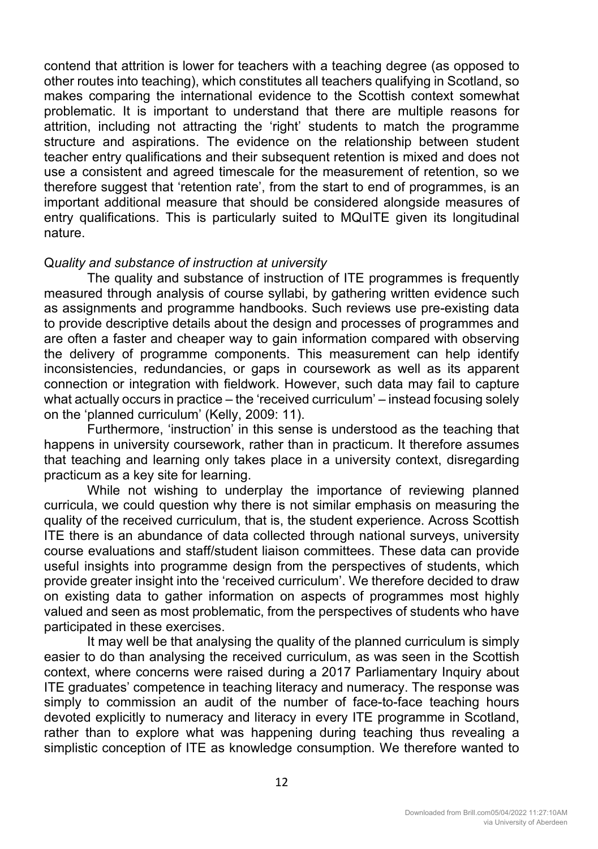contend that attrition is lower for teachers with a teaching degree (as opposed to other routes into teaching), which constitutes all teachers qualifying in Scotland, so makes comparing the international evidence to the Scottish context somewhat problematic. It is important to understand that there are multiple reasons for attrition, including not attracting the 'right' students to match the programme structure and aspirations. The evidence on the relationship between student teacher entry qualifications and their subsequent retention is mixed and does not use a consistent and agreed timescale for the measurement of retention, so we therefore suggest that 'retention rate', from the start to end of programmes, is an important additional measure that should be considered alongside measures of entry qualifications. This is particularly suited to MQuITE given its longitudinal nature.

#### Q*uality and substance of instruction at university*

The quality and substance of instruction of ITE programmes is frequently measured through analysis of course syllabi, by gathering written evidence such as assignments and programme handbooks. Such reviews use pre-existing data to provide descriptive details about the design and processes of programmes and are often a faster and cheaper way to gain information compared with observing the delivery of programme components. This measurement can help identify inconsistencies, redundancies, or gaps in coursework as well as its apparent connection or integration with fieldwork. However, such data may fail to capture what actually occurs in practice – the 'received curriculum' – instead focusing solely on the 'planned curriculum' (Kelly, 2009: 11).

Furthermore, 'instruction' in this sense is understood as the teaching that happens in university coursework, rather than in practicum. It therefore assumes that teaching and learning only takes place in a university context, disregarding practicum as a key site for learning.

While not wishing to underplay the importance of reviewing planned curricula, we could question why there is not similar emphasis on measuring the quality of the received curriculum, that is, the student experience. Across Scottish ITE there is an abundance of data collected through national surveys, university course evaluations and staff/student liaison committees. These data can provide useful insights into programme design from the perspectives of students, which provide greater insight into the 'received curriculum'. We therefore decided to draw on existing data to gather information on aspects of programmes most highly valued and seen as most problematic, from the perspectives of students who have participated in these exercises.

It may well be that analysing the quality of the planned curriculum is simply easier to do than analysing the received curriculum, as was seen in the Scottish context, where concerns were raised during a 2017 Parliamentary Inquiry about ITE graduates' competence in teaching literacy and numeracy. The response was simply to commission an audit of the number of face-to-face teaching hours devoted explicitly to numeracy and literacy in every ITE programme in Scotland, rather than to explore what was happening during teaching thus revealing a simplistic conception of ITE as knowledge consumption. We therefore wanted to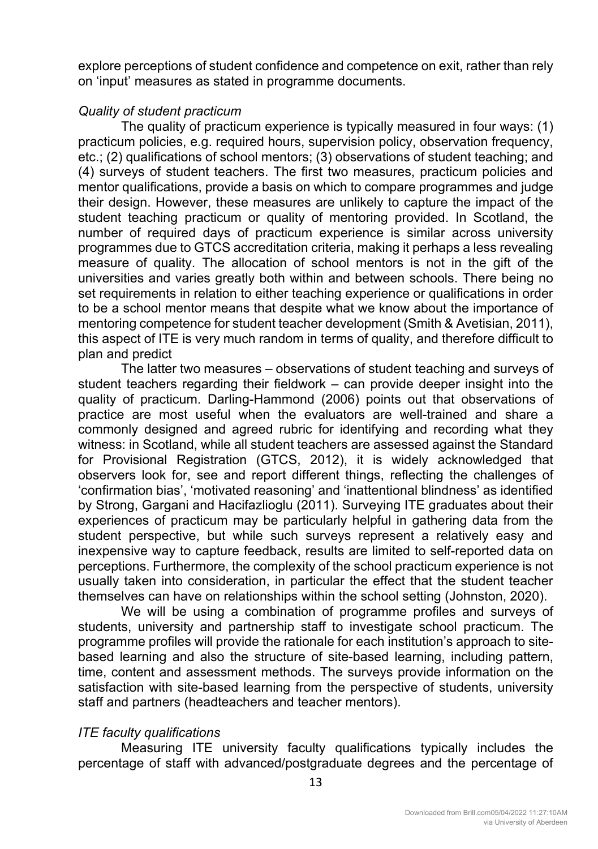explore perceptions of student confidence and competence on exit, rather than rely on 'input' measures as stated in programme documents.

## *Quality of student practicum*

The quality of practicum experience is typically measured in four ways: (1) practicum policies, e.g. required hours, supervision policy, observation frequency, etc.; (2) qualifications of school mentors; (3) observations of student teaching; and (4) surveys of student teachers. The first two measures, practicum policies and mentor qualifications, provide a basis on which to compare programmes and judge their design. However, these measures are unlikely to capture the impact of the student teaching practicum or quality of mentoring provided. In Scotland, the number of required days of practicum experience is similar across university programmes due to GTCS accreditation criteria, making it perhaps a less revealing measure of quality. The allocation of school mentors is not in the gift of the universities and varies greatly both within and between schools. There being no set requirements in relation to either teaching experience or qualifications in order to be a school mentor means that despite what we know about the importance of mentoring competence for student teacher development (Smith & Avetisian, 2011), this aspect of ITE is very much random in terms of quality, and therefore difficult to plan and predict

The latter two measures – observations of student teaching and surveys of student teachers regarding their fieldwork – can provide deeper insight into the quality of practicum. Darling-Hammond (2006) points out that observations of practice are most useful when the evaluators are well-trained and share a commonly designed and agreed rubric for identifying and recording what they witness: in Scotland, while all student teachers are assessed against the Standard for Provisional Registration (GTCS, 2012), it is widely acknowledged that observers look for, see and report different things, reflecting the challenges of 'confirmation bias', 'motivated reasoning' and 'inattentional blindness' as identified by Strong, Gargani and Hacifazlioglu (2011). Surveying ITE graduates about their experiences of practicum may be particularly helpful in gathering data from the student perspective, but while such surveys represent a relatively easy and inexpensive way to capture feedback, results are limited to self-reported data on perceptions. Furthermore, the complexity of the school practicum experience is not usually taken into consideration, in particular the effect that the student teacher themselves can have on relationships within the school setting (Johnston, 2020).

We will be using a combination of programme profiles and surveys of students, university and partnership staff to investigate school practicum. The programme profiles will provide the rationale for each institution's approach to sitebased learning and also the structure of site-based learning, including pattern, time, content and assessment methods. The surveys provide information on the satisfaction with site-based learning from the perspective of students, university staff and partners (headteachers and teacher mentors).

## *ITE faculty qualifications*

Measuring ITE university faculty qualifications typically includes the percentage of staff with advanced/postgraduate degrees and the percentage of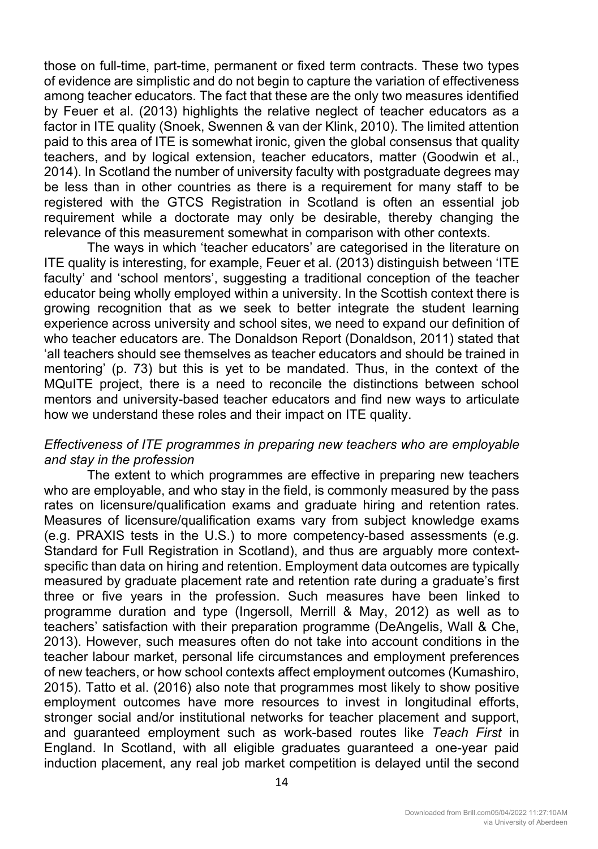those on full-time, part-time, permanent or fixed term contracts. These two types of evidence are simplistic and do not begin to capture the variation of effectiveness among teacher educators. The fact that these are the only two measures identified by Feuer et al. (2013) highlights the relative neglect of teacher educators as a factor in ITE quality (Snoek, Swennen & van der Klink, 2010). The limited attention paid to this area of ITE is somewhat ironic, given the global consensus that quality teachers, and by logical extension, teacher educators, matter (Goodwin et al., 2014). In Scotland the number of university faculty with postgraduate degrees may be less than in other countries as there is a requirement for many staff to be registered with the GTCS Registration in Scotland is often an essential job requirement while a doctorate may only be desirable, thereby changing the relevance of this measurement somewhat in comparison with other contexts.

The ways in which 'teacher educators' are categorised in the literature on ITE quality is interesting, for example, Feuer et al. (2013) distinguish between 'ITE faculty' and 'school mentors', suggesting a traditional conception of the teacher educator being wholly employed within a university. In the Scottish context there is growing recognition that as we seek to better integrate the student learning experience across university and school sites, we need to expand our definition of who teacher educators are. The Donaldson Report (Donaldson, 2011) stated that 'all teachers should see themselves as teacher educators and should be trained in mentoring' (p. 73) but this is yet to be mandated. Thus, in the context of the MQuITE project, there is a need to reconcile the distinctions between school mentors and university-based teacher educators and find new ways to articulate how we understand these roles and their impact on ITE quality.

## *Effectiveness of ITE programmes in preparing new teachers who are employable and stay in the profession*

The extent to which programmes are effective in preparing new teachers who are employable, and who stay in the field, is commonly measured by the pass rates on licensure/qualification exams and graduate hiring and retention rates. Measures of licensure/qualification exams vary from subject knowledge exams (e.g. PRAXIS tests in the U.S.) to more competency-based assessments (e.g. Standard for Full Registration in Scotland), and thus are arguably more contextspecific than data on hiring and retention. Employment data outcomes are typically measured by graduate placement rate and retention rate during a graduate's first three or five years in the profession. Such measures have been linked to programme duration and type (Ingersoll, Merrill & May, 2012) as well as to teachers' satisfaction with their preparation programme (DeAngelis, Wall & Che, 2013). However, such measures often do not take into account conditions in the teacher labour market, personal life circumstances and employment preferences of new teachers, or how school contexts affect employment outcomes (Kumashiro, 2015). Tatto et al. (2016) also note that programmes most likely to show positive employment outcomes have more resources to invest in longitudinal efforts, stronger social and/or institutional networks for teacher placement and support, and guaranteed employment such as work-based routes like *Teach First* in England. In Scotland, with all eligible graduates guaranteed a one-year paid induction placement, any real job market competition is delayed until the second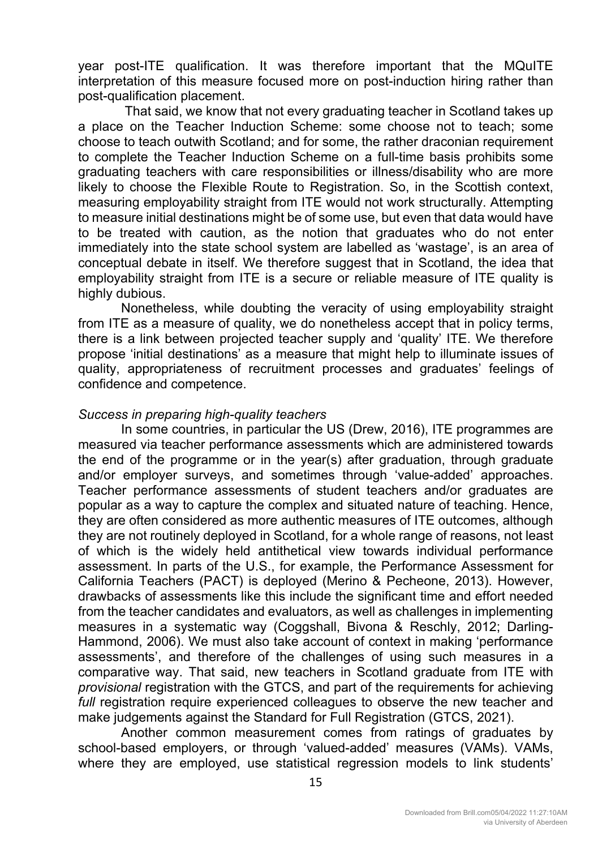year post-ITE qualification. It was therefore important that the MQuITE interpretation of this measure focused more on post-induction hiring rather than post-qualification placement.

 That said, we know that not every graduating teacher in Scotland takes up a place on the Teacher Induction Scheme: some choose not to teach; some choose to teach outwith Scotland; and for some, the rather draconian requirement to complete the Teacher Induction Scheme on a full-time basis prohibits some graduating teachers with care responsibilities or illness/disability who are more likely to choose the Flexible Route to Registration. So, in the Scottish context, measuring employability straight from ITE would not work structurally. Attempting to measure initial destinations might be of some use, but even that data would have to be treated with caution, as the notion that graduates who do not enter immediately into the state school system are labelled as 'wastage', is an area of conceptual debate in itself. We therefore suggest that in Scotland, the idea that employability straight from ITE is a secure or reliable measure of ITE quality is highly dubious.

Nonetheless, while doubting the veracity of using employability straight from ITE as a measure of quality, we do nonetheless accept that in policy terms, there is a link between projected teacher supply and 'quality' ITE. We therefore propose 'initial destinations' as a measure that might help to illuminate issues of quality, appropriateness of recruitment processes and graduates' feelings of confidence and competence.

## *Success in preparing high-quality teachers*

In some countries, in particular the US (Drew, 2016), ITE programmes are measured via teacher performance assessments which are administered towards the end of the programme or in the year(s) after graduation, through graduate and/or employer surveys, and sometimes through 'value-added' approaches. Teacher performance assessments of student teachers and/or graduates are popular as a way to capture the complex and situated nature of teaching. Hence, they are often considered as more authentic measures of ITE outcomes, although they are not routinely deployed in Scotland, for a whole range of reasons, not least of which is the widely held antithetical view towards individual performance assessment. In parts of the U.S., for example, the Performance Assessment for California Teachers (PACT) is deployed (Merino & Pecheone, 2013). However, drawbacks of assessments like this include the significant time and effort needed from the teacher candidates and evaluators, as well as challenges in implementing measures in a systematic way (Coggshall, Bivona & Reschly, 2012; Darling-Hammond, 2006). We must also take account of context in making 'performance assessments', and therefore of the challenges of using such measures in a comparative way. That said, new teachers in Scotland graduate from ITE with *provisional* registration with the GTCS, and part of the requirements for achieving *full* registration require experienced colleagues to observe the new teacher and make judgements against the Standard for Full Registration (GTCS, 2021).

Another common measurement comes from ratings of graduates by school-based employers, or through 'valued-added' measures (VAMs). VAMs, where they are employed, use statistical regression models to link students'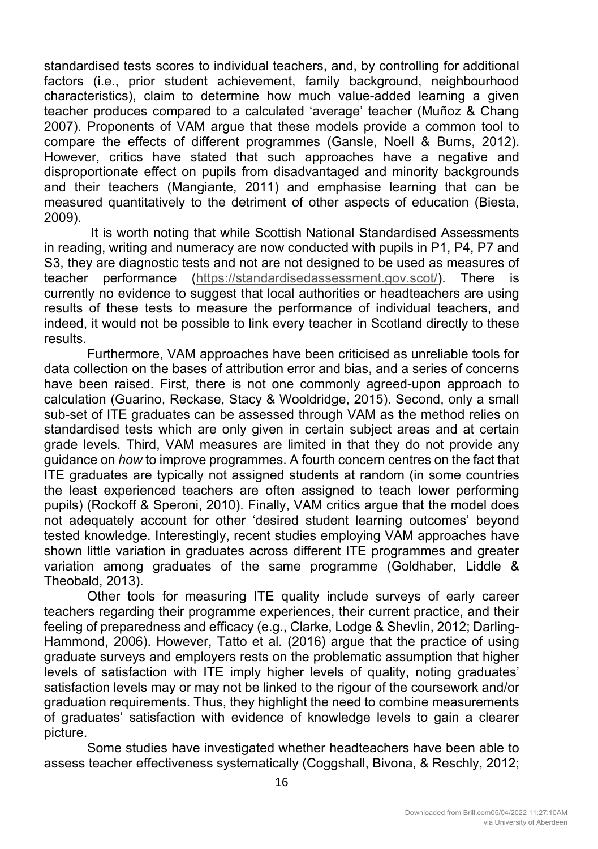standardised tests scores to individual teachers, and, by controlling for additional factors (i.e., prior student achievement, family background, neighbourhood characteristics), claim to determine how much value-added learning a given teacher produces compared to a calculated 'average' teacher (Muñoz & Chang 2007). Proponents of VAM argue that these models provide a common tool to compare the effects of different programmes (Gansle, Noell & Burns, 2012). However, critics have stated that such approaches have a negative and disproportionate effect on pupils from disadvantaged and minority backgrounds and their teachers (Mangiante, 2011) and emphasise learning that can be measured quantitatively to the detriment of other aspects of education (Biesta, 2009).

 It is worth noting that while Scottish National Standardised Assessments in reading, writing and numeracy are now conducted with pupils in P1, P4, P7 and S3, they are diagnostic tests and not are not designed to be used as measures of teacher performance (https://standardisedassessment.gov.scot/). There is currently no evidence to suggest that local authorities or headteachers are using results of these tests to measure the performance of individual teachers, and indeed, it would not be possible to link every teacher in Scotland directly to these results.

Furthermore, VAM approaches have been criticised as unreliable tools for data collection on the bases of attribution error and bias, and a series of concerns have been raised. First, there is not one commonly agreed-upon approach to calculation (Guarino, Reckase, Stacy & Wooldridge, 2015). Second, only a small sub-set of ITE graduates can be assessed through VAM as the method relies on standardised tests which are only given in certain subject areas and at certain grade levels. Third, VAM measures are limited in that they do not provide any guidance on *how* to improve programmes. A fourth concern centres on the fact that ITE graduates are typically not assigned students at random (in some countries the least experienced teachers are often assigned to teach lower performing pupils) (Rockoff & Speroni, 2010). Finally, VAM critics argue that the model does not adequately account for other 'desired student learning outcomes' beyond tested knowledge. Interestingly, recent studies employing VAM approaches have shown little variation in graduates across different ITE programmes and greater variation among graduates of the same programme (Goldhaber, Liddle & Theobald, 2013).

Other tools for measuring ITE quality include surveys of early career teachers regarding their programme experiences, their current practice, and their feeling of preparedness and efficacy (e.g., Clarke, Lodge & Shevlin, 2012; Darling-Hammond, 2006). However, Tatto et al*.* (2016) argue that the practice of using graduate surveys and employers rests on the problematic assumption that higher levels of satisfaction with ITE imply higher levels of quality, noting graduates' satisfaction levels may or may not be linked to the rigour of the coursework and/or graduation requirements. Thus, they highlight the need to combine measurements of graduates' satisfaction with evidence of knowledge levels to gain a clearer picture.

Some studies have investigated whether headteachers have been able to assess teacher effectiveness systematically (Coggshall, Bivona, & Reschly, 2012;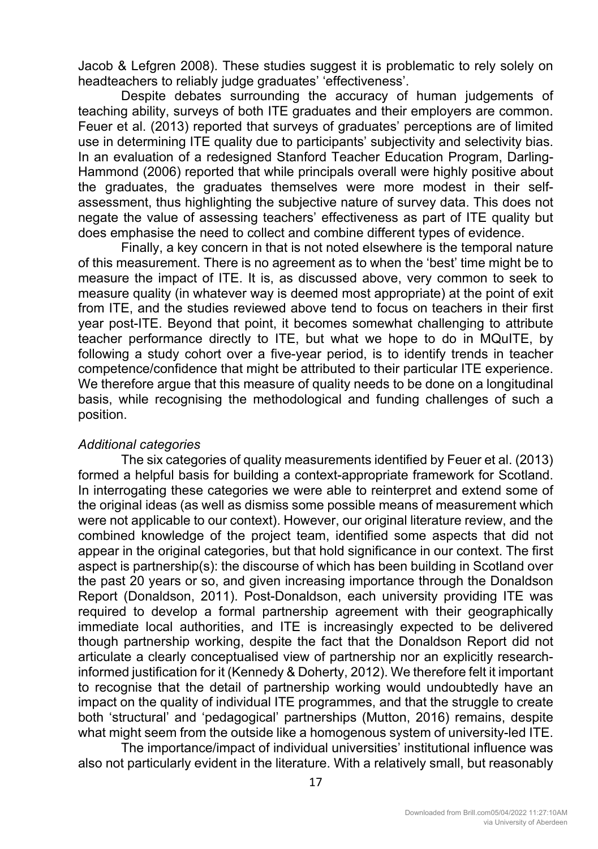Jacob & Lefgren 2008). These studies suggest it is problematic to rely solely on headteachers to reliably judge graduates' 'effectiveness'.

Despite debates surrounding the accuracy of human judgements of teaching ability, surveys of both ITE graduates and their employers are common. Feuer et al. (2013) reported that surveys of graduates' perceptions are of limited use in determining ITE quality due to participants' subjectivity and selectivity bias. In an evaluation of a redesigned Stanford Teacher Education Program, Darling-Hammond (2006) reported that while principals overall were highly positive about the graduates, the graduates themselves were more modest in their selfassessment, thus highlighting the subjective nature of survey data. This does not negate the value of assessing teachers' effectiveness as part of ITE quality but does emphasise the need to collect and combine different types of evidence.

Finally, a key concern in that is not noted elsewhere is the temporal nature of this measurement. There is no agreement as to when the 'best' time might be to measure the impact of ITE. It is, as discussed above, very common to seek to measure quality (in whatever way is deemed most appropriate) at the point of exit from ITE, and the studies reviewed above tend to focus on teachers in their first year post-ITE. Beyond that point, it becomes somewhat challenging to attribute teacher performance directly to ITE, but what we hope to do in MQuITE, by following a study cohort over a five-year period, is to identify trends in teacher competence/confidence that might be attributed to their particular ITE experience. We therefore argue that this measure of quality needs to be done on a longitudinal basis, while recognising the methodological and funding challenges of such a position.

#### *Additional categories*

The six categories of quality measurements identified by Feuer et al. (2013) formed a helpful basis for building a context-appropriate framework for Scotland. In interrogating these categories we were able to reinterpret and extend some of the original ideas (as well as dismiss some possible means of measurement which were not applicable to our context). However, our original literature review, and the combined knowledge of the project team, identified some aspects that did not appear in the original categories, but that hold significance in our context. The first aspect is partnership(s): the discourse of which has been building in Scotland over the past 20 years or so, and given increasing importance through the Donaldson Report (Donaldson, 2011). Post-Donaldson, each university providing ITE was required to develop a formal partnership agreement with their geographically immediate local authorities, and ITE is increasingly expected to be delivered though partnership working, despite the fact that the Donaldson Report did not articulate a clearly conceptualised view of partnership nor an explicitly researchinformed justification for it (Kennedy & Doherty, 2012). We therefore felt it important to recognise that the detail of partnership working would undoubtedly have an impact on the quality of individual ITE programmes, and that the struggle to create both 'structural' and 'pedagogical' partnerships (Mutton, 2016) remains, despite what might seem from the outside like a homogenous system of university-led ITE.

The importance/impact of individual universities' institutional influence was also not particularly evident in the literature. With a relatively small, but reasonably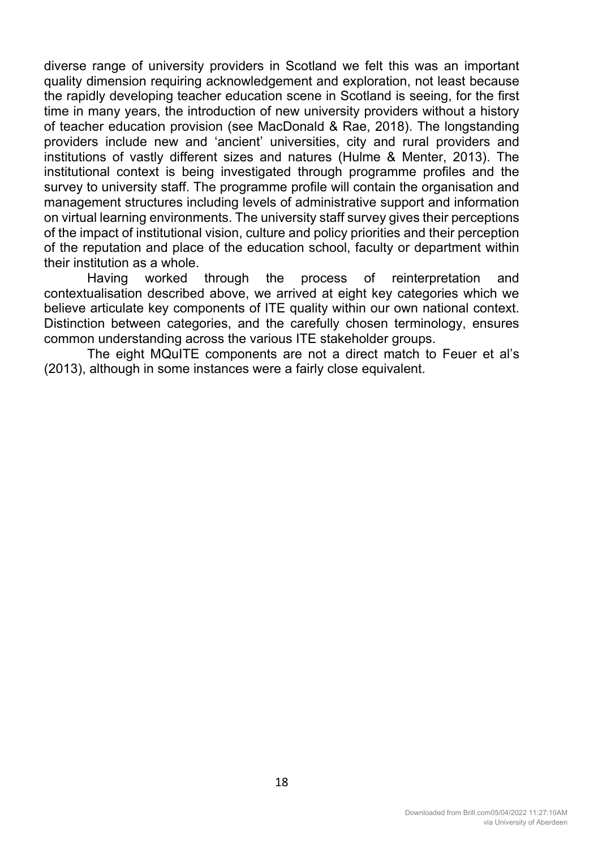diverse range of university providers in Scotland we felt this was an important quality dimension requiring acknowledgement and exploration, not least because the rapidly developing teacher education scene in Scotland is seeing, for the first time in many years, the introduction of new university providers without a history of teacher education provision (see MacDonald & Rae, 2018). The longstanding providers include new and 'ancient' universities, city and rural providers and institutions of vastly different sizes and natures (Hulme & Menter, 2013). The institutional context is being investigated through programme profiles and the survey to university staff. The programme profile will contain the organisation and management structures including levels of administrative support and information on virtual learning environments. The university staff survey gives their perceptions of the impact of institutional vision, culture and policy priorities and their perception of the reputation and place of the education school, faculty or department within their institution as a whole.

Having worked through the process of reinterpretation and contextualisation described above, we arrived at eight key categories which we believe articulate key components of ITE quality within our own national context. Distinction between categories, and the carefully chosen terminology, ensures common understanding across the various ITE stakeholder groups.

The eight MQuITE components are not a direct match to Feuer et al's (2013), although in some instances were a fairly close equivalent.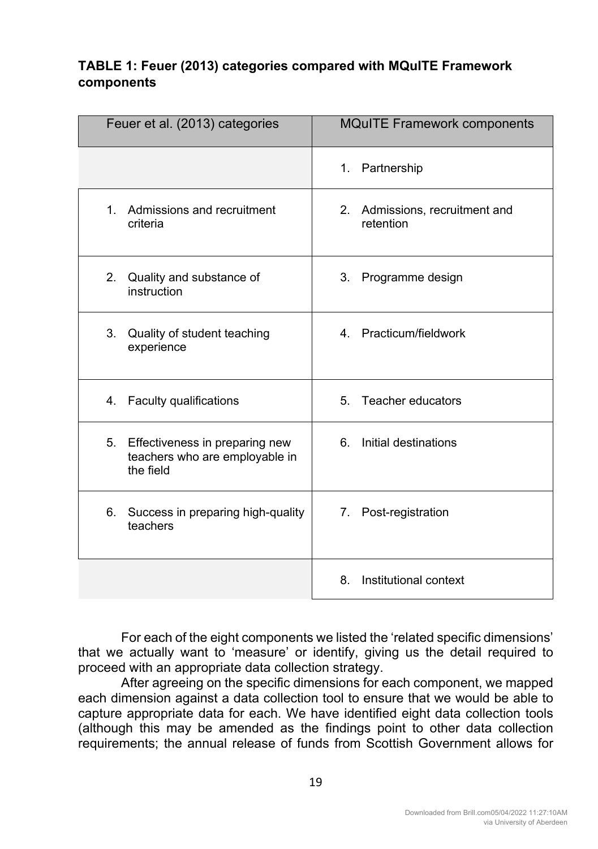## **TABLE 1: Feuer (2013) categories compared with MQuITE Framework components**

| Feuer et al. (2013) categories                                                      | <b>MQuITE Framework components</b>                    |
|-------------------------------------------------------------------------------------|-------------------------------------------------------|
|                                                                                     | Partnership<br>1.                                     |
| 1. Admissions and recruitment<br>criteria                                           | 2.<br>Admissions, recruitment and<br>retention        |
| 2 <sup>1</sup><br>Quality and substance of<br>instruction                           | $3_{-}$<br>Programme design                           |
| 3 <sub>1</sub><br>Quality of student teaching<br>experience                         | 4. Practicum/fieldwork                                |
| 4. Faculty qualifications                                                           | 5. Teacher educators                                  |
| 5.<br>Effectiveness in preparing new<br>teachers who are employable in<br>the field | Initial destinations<br>6.                            |
| 6. Success in preparing high-quality<br>teachers                                    | Post-registration<br>$7_{\scriptscriptstyle{\ddots}}$ |
|                                                                                     | Institutional context<br>8.                           |

For each of the eight components we listed the 'related specific dimensions' that we actually want to 'measure' or identify, giving us the detail required to proceed with an appropriate data collection strategy.

After agreeing on the specific dimensions for each component, we mapped each dimension against a data collection tool to ensure that we would be able to capture appropriate data for each. We have identified eight data collection tools (although this may be amended as the findings point to other data collection requirements; the annual release of funds from Scottish Government allows for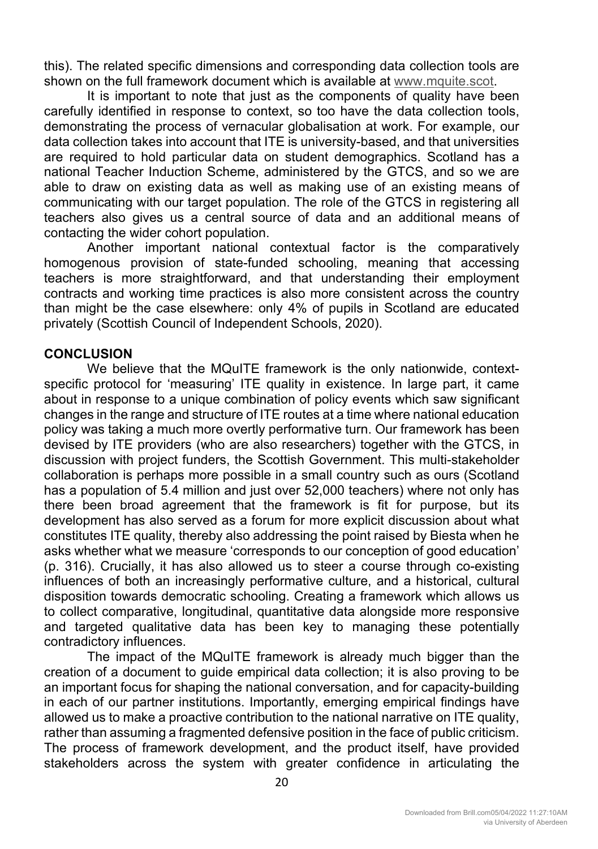this). The related specific dimensions and corresponding data collection tools are shown on the full framework document which is available at www.mquite.scot.

It is important to note that just as the components of quality have been carefully identified in response to context, so too have the data collection tools, demonstrating the process of vernacular globalisation at work. For example, our data collection takes into account that ITE is university-based, and that universities are required to hold particular data on student demographics. Scotland has a national Teacher Induction Scheme, administered by the GTCS, and so we are able to draw on existing data as well as making use of an existing means of communicating with our target population. The role of the GTCS in registering all teachers also gives us a central source of data and an additional means of contacting the wider cohort population.

Another important national contextual factor is the comparatively homogenous provision of state-funded schooling, meaning that accessing teachers is more straightforward, and that understanding their employment contracts and working time practices is also more consistent across the country than might be the case elsewhere: only 4% of pupils in Scotland are educated privately (Scottish Council of Independent Schools, 2020).

## **CONCLUSION**

We believe that the MQuITE framework is the only nationwide, contextspecific protocol for 'measuring' ITE quality in existence. In large part, it came about in response to a unique combination of policy events which saw significant changes in the range and structure of ITE routes at a time where national education policy was taking a much more overtly performative turn. Our framework has been devised by ITE providers (who are also researchers) together with the GTCS, in discussion with project funders, the Scottish Government. This multi-stakeholder collaboration is perhaps more possible in a small country such as ours (Scotland has a population of 5.4 million and just over 52,000 teachers) where not only has there been broad agreement that the framework is fit for purpose, but its development has also served as a forum for more explicit discussion about what constitutes ITE quality, thereby also addressing the point raised by Biesta when he asks whether what we measure 'corresponds to our conception of good education' (p. 316). Crucially, it has also allowed us to steer a course through co-existing influences of both an increasingly performative culture, and a historical, cultural disposition towards democratic schooling. Creating a framework which allows us to collect comparative, longitudinal, quantitative data alongside more responsive and targeted qualitative data has been key to managing these potentially contradictory influences.

The impact of the MQuITE framework is already much bigger than the creation of a document to guide empirical data collection; it is also proving to be an important focus for shaping the national conversation, and for capacity-building in each of our partner institutions. Importantly, emerging empirical findings have allowed us to make a proactive contribution to the national narrative on ITE quality, rather than assuming a fragmented defensive position in the face of public criticism. The process of framework development, and the product itself, have provided stakeholders across the system with greater confidence in articulating the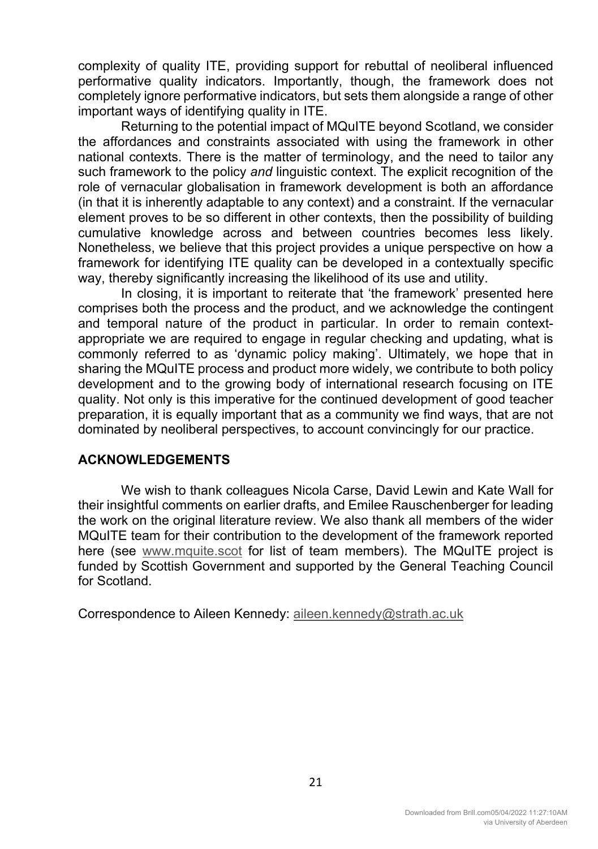complexity of quality ITE, providing support for rebuttal of neoliberal influenced performative quality indicators. Importantly, though, the framework does not completely ignore performative indicators, but sets them alongside a range of other important ways of identifying quality in ITE.

Returning to the potential impact of MQuITE beyond Scotland, we consider the affordances and constraints associated with using the framework in other national contexts. There is the matter of terminology, and the need to tailor any such framework to the policy *and* linguistic context. The explicit recognition of the role of vernacular globalisation in framework development is both an affordance (in that it is inherently adaptable to any context) and a constraint. If the vernacular element proves to be so different in other contexts, then the possibility of building cumulative knowledge across and between countries becomes less likely. Nonetheless, we believe that this project provides a unique perspective on how a framework for identifying ITE quality can be developed in a contextually specific way, thereby significantly increasing the likelihood of its use and utility.

In closing, it is important to reiterate that 'the framework' presented here comprises both the process and the product, and we acknowledge the contingent and temporal nature of the product in particular. In order to remain contextappropriate we are required to engage in regular checking and updating, what is commonly referred to as 'dynamic policy making'. Ultimately, we hope that in sharing the MQuITE process and product more widely, we contribute to both policy development and to the growing body of international research focusing on ITE quality. Not only is this imperative for the continued development of good teacher preparation, it is equally important that as a community we find ways, that are not dominated by neoliberal perspectives, to account convincingly for our practice.

## **ACKNOWLEDGEMENTS**

We wish to thank colleagues Nicola Carse, David Lewin and Kate Wall for their insightful comments on earlier drafts, and Emilee Rauschenberger for leading the work on the original literature review. We also thank all members of the wider MQuITE team for their contribution to the development of the framework reported here (see www.mquite.scot for list of team members). The MQuITE project is funded by Scottish Government and supported by the General Teaching Council for Scotland.

Correspondence to Aileen Kennedy: aileen.kennedy@strath.ac.uk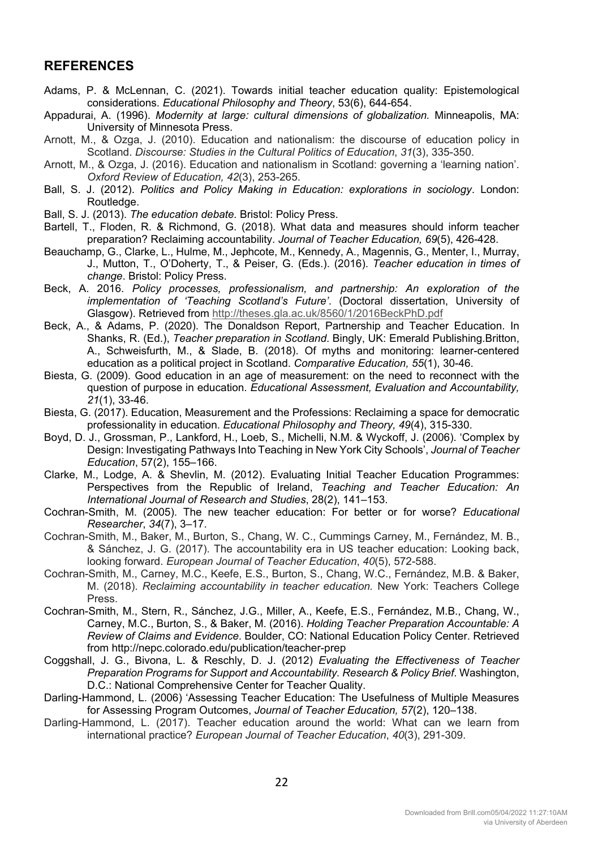#### **REFERENCES**

- Adams, P. & McLennan, C. (2021). Towards initial teacher education quality: Epistemological considerations. *Educational Philosophy and Theory*, 53(6), 644-654.
- Appadurai, A. (1996). *Modernity at large: cultural dimensions of globalization.* Minneapolis, MA: University of Minnesota Press.
- Arnott, M., & Ozga, J. (2010). Education and nationalism: the discourse of education policy in Scotland. *Discourse: Studies in the Cultural Politics of Education*, *31*(3), 335-350.
- Arnott, M., & Ozga, J. (2016). Education and nationalism in Scotland: governing a 'learning nation'. *Oxford Review of Education, 42*(3), 253-265.
- Ball, S. J. (2012). *Politics and Policy Making in Education: explorations in sociology*. London: Routledge.
- Ball, S. J. (2013). *The education debate.* Bristol: Policy Press.
- Bartell, T., Floden, R. & Richmond, G. (2018). What data and measures should inform teacher preparation? Reclaiming accountability. *Journal of Teacher Education, 69*(5), 426-428.
- Beauchamp, G., Clarke, L., Hulme, M., Jephcote, M., Kennedy, A., Magennis, G., Menter, I., Murray, J., Mutton, T., O'Doherty, T., & Peiser, G. (Eds.). (2016). *Teacher education in times of change*. Bristol: Policy Press.
- Beck, A. 2016. *Policy processes, professionalism, and partnership: An exploration of the implementation of 'Teaching Scotland's Future'*. (Doctoral dissertation, University of Glasgow). Retrieved from http://theses.gla.ac.uk/8560/1/2016BeckPhD.pdf
- Beck, A., & Adams, P. (2020). The Donaldson Report, Partnership and Teacher Education. In Shanks, R. (Ed.), *Teacher preparation in Scotland*. Bingly, UK: Emerald Publishing.Britton, A., Schweisfurth, M., & Slade, B. (2018). Of myths and monitoring: learner-centered education as a political project in Scotland. *Comparative Education, 55*(1), 30-46.
- Biesta, G. (2009). Good education in an age of measurement: on the need to reconnect with the question of purpose in education. *Educational Assessment, Evaluation and Accountability, 21*(1), 33-46.
- Biesta, G. (2017). Education, Measurement and the Professions: Reclaiming a space for democratic professionality in education. *Educational Philosophy and Theory, 49*(4), 315-330.
- Boyd, D. J., Grossman, P., Lankford, H., Loeb, S., Michelli, N.M. & Wyckoff, J. (2006). 'Complex by Design: Investigating Pathways Into Teaching in New York City Schools', *Journal of Teacher Education*, 57(2), 155–166.
- Clarke, M., Lodge, A. & Shevlin, M. (2012). Evaluating Initial Teacher Education Programmes: Perspectives from the Republic of Ireland, *Teaching and Teacher Education: An International Journal of Research and Studies*, 28(2), 141–153.
- Cochran-Smith, M. (2005). The new teacher education: For better or for worse? *Educational Researcher*, *34*(7), 3–17.
- Cochran-Smith, M., Baker, M., Burton, S., Chang, W. C., Cummings Carney, M., Fernández, M. B., & Sánchez, J. G. (2017). The accountability era in US teacher education: Looking back, looking forward. *European Journal of Teacher Education*, *40*(5), 572-588.
- Cochran-Smith, M., Carney, M.C., Keefe, E.S., Burton, S., Chang, W.C., Fernández, M.B. & Baker, M. (2018). *Reclaiming accountability in teacher education.* New York: Teachers College Press.
- Cochran-Smith, M., Stern, R., Sánchez, J.G., Miller, A., Keefe, E.S., Fernández, M.B., Chang, W., Carney, M.C., Burton, S., & Baker, M. (2016). *Holding Teacher Preparation Accountable: A Review of Claims and Evidence*. Boulder, CO: National Education Policy Center. Retrieved from http://nepc.colorado.edu/publication/teacher-prep
- Coggshall, J. G., Bivona, L. & Reschly, D. J. (2012) *Evaluating the Effectiveness of Teacher Preparation Programs for Support and Accountability. Research & Policy Brief*. Washington, D.C.: National Comprehensive Center for Teacher Quality.
- Darling-Hammond, L. (2006) 'Assessing Teacher Education: The Usefulness of Multiple Measures for Assessing Program Outcomes, *Journal of Teacher Education, 57*(2), 120–138.
- Darling-Hammond, L. (2017). Teacher education around the world: What can we learn from international practice? *European Journal of Teacher Education*, *40*(3), 291-309.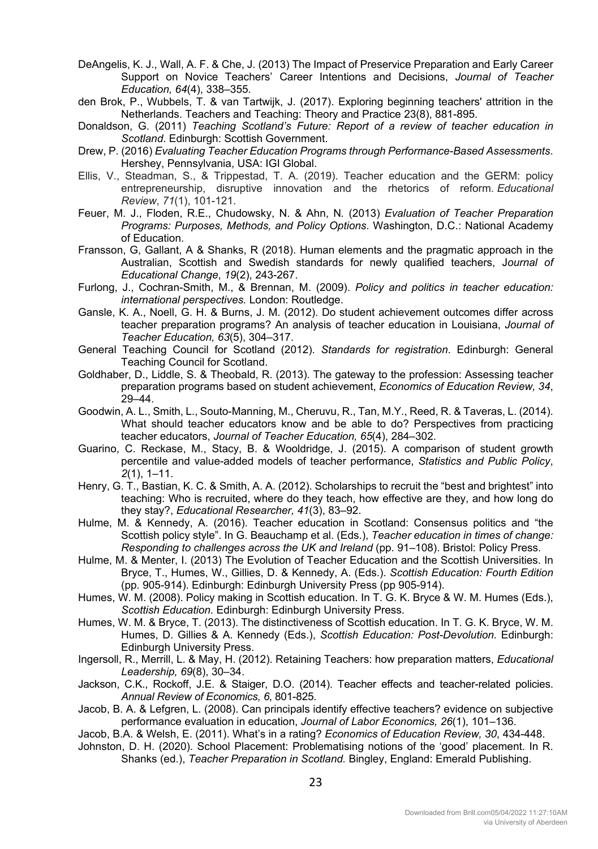- DeAngelis, K. J., Wall, A. F. & Che, J. (2013) The Impact of Preservice Preparation and Early Career Support on Novice Teachers' Career Intentions and Decisions, *Journal of Teacher Education, 64*(4), 338–355.
- den Brok, P., Wubbels, T. & van Tartwijk, J. (2017). Exploring beginning teachers' attrition in the Netherlands. Teachers and Teaching: Theory and Practice 23(8), 881-895.
- Donaldson, G. (2011) *Teaching Scotland's Future: Report of a review of teacher education in Scotland*. Edinburgh: Scottish Government.
- Drew, P. (2016) *Evaluating Teacher Education Programs through Performance-Based Assessments*. Hershey, Pennsylvania, USA: IGI Global.
- Ellis, V., Steadman, S., & Trippestad, T. A. (2019). Teacher education and the GERM: policy entrepreneurship, disruptive innovation and the rhetorics of reform. *Educational Review*, *71*(1), 101-121.
- Feuer, M. J., Floden, R.E., Chudowsky, N. & Ahn, N*.* (2013) *Evaluation of Teacher Preparation Programs: Purposes, Methods, and Policy Options*. Washington, D.C.: National Academy of Education.
- Fransson, G, Gallant, A & Shanks, R (2018). Human elements and the pragmatic approach in the Australian, Scottish and Swedish standards for newly qualified teachers, J*ournal of Educational Change*, *19*(2), 243-267.
- Furlong, J., Cochran-Smith, M., & Brennan, M. (2009). *Policy and politics in teacher education: international perspectives.* London: Routledge.
- Gansle, K. A., Noell, G. H. & Burns, J. M. (2012). Do student achievement outcomes differ across teacher preparation programs? An analysis of teacher education in Louisiana, *Journal of Teacher Education, 63*(5), 304–317.
- General Teaching Council for Scotland (2012). *Standards for registration*. Edinburgh: General Teaching Council for Scotland.
- Goldhaber, D., Liddle, S. & Theobald, R. (2013). The gateway to the profession: Assessing teacher preparation programs based on student achievement, *Economics of Education Review, 34*, 29–44.
- Goodwin, A. L., Smith, L., Souto-Manning, M., Cheruvu, R., Tan, M.Y., Reed, R. & Taveras, L. (2014). What should teacher educators know and be able to do? Perspectives from practicing teacher educators, *Journal of Teacher Education, 65*(4), 284–302.
- Guarino, C. Reckase, M., Stacy, B. & Wooldridge, J. (2015). A comparison of student growth percentile and value-added models of teacher performance, *Statistics and Public Policy*, *2*(1), 1–11.
- Henry, G. T., Bastian, K. C. & Smith, A. A. (2012). Scholarships to recruit the "best and brightest" into teaching: Who is recruited, where do they teach, how effective are they, and how long do they stay?, *Educational Researcher, 41*(3), 83–92.
- Hulme, M. & Kennedy, A. (2016). Teacher education in Scotland: Consensus politics and "the Scottish policy style". In G. Beauchamp et al. (Eds.), *Teacher education in times of change: Responding to challenges across the UK and Ireland* (pp. 91–108). Bristol: Policy Press.
- Hulme, M. & Menter, I. (2013) The Evolution of Teacher Education and the Scottish Universities. In Bryce, T., Humes, W., Gillies, D. & Kennedy, A. (Eds.). *Scottish Education: Fourth Edition* (pp. 905-914). Edinburgh: Edinburgh University Press (pp 905-914).
- Humes, W. M. (2008). Policy making in Scottish education. In T. G. K. Bryce & W. M. Humes (Eds.), *Scottish Education.* Edinburgh: Edinburgh University Press.
- Humes, W. M. & Bryce, T. (2013). The distinctiveness of Scottish education. In T. G. K. Bryce, W. M. Humes, D. Gillies & A. Kennedy (Eds.), *Scottish Education: Post-Devolution.* Edinburgh: Edinburgh University Press.
- Ingersoll, R., Merrill, L. & May, H. (2012). Retaining Teachers: how preparation matters, *Educational Leadership, 69*(8), 30–34.
- Jackson, C.K., Rockoff, J.E. & Staiger, D.O. (2014). Teacher effects and teacher-related policies. *Annual Review of Economics, 6*, 801-825.
- Jacob, B. A. & Lefgren, L. (2008). Can principals identify effective teachers? evidence on subjective performance evaluation in education, *Journal of Labor Economics, 26*(1), 101–136.

Jacob, B.A. & Welsh, E. (2011). What's in a rating? *Economics of Education Review, 30*, 434-448.

Johnston, D. H. (2020). School Placement: Problematising notions of the 'good' placement. In R. Shanks (ed.), *Teacher Preparation in Scotland.* Bingley, England: Emerald Publishing.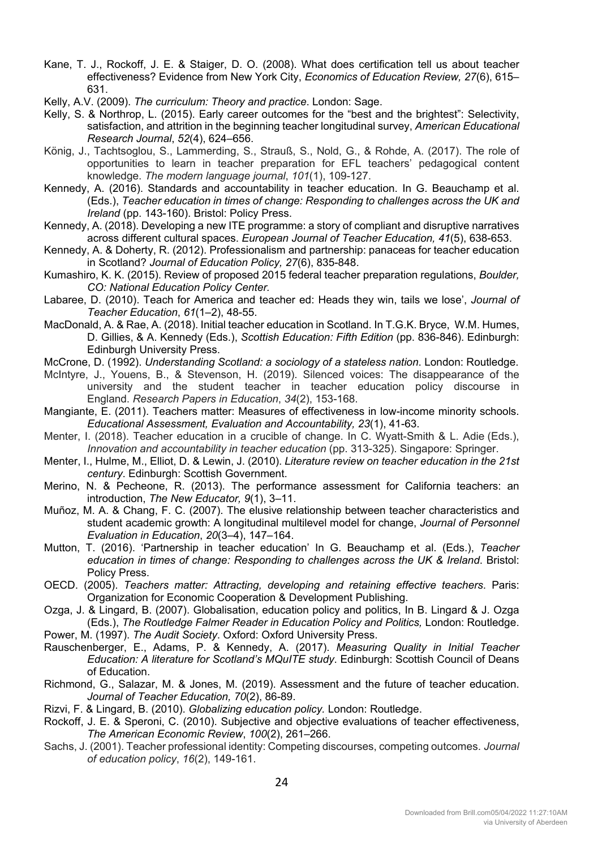- Kane, T. J., Rockoff, J. E. & Staiger, D. O. (2008). What does certification tell us about teacher effectiveness? Evidence from New York City, *Economics of Education Review, 27*(6), 615– 631.
- Kelly, A.V. (2009). *The curriculum: Theory and practice*. London: Sage.
- Kelly, S. & Northrop, L. (2015). Early career outcomes for the "best and the brightest": Selectivity, satisfaction, and attrition in the beginning teacher longitudinal survey, *American Educational Research Journal*, *52*(4), 624–656.
- König, J., Tachtsoglou, S., Lammerding, S., Strauß, S., Nold, G., & Rohde, A. (2017). The role of opportunities to learn in teacher preparation for EFL teachers' pedagogical content knowledge. *The modern language journal*, *101*(1), 109-127.
- Kennedy, A. (2016). Standards and accountability in teacher education. In G. Beauchamp et al. (Eds.), *Teacher education in times of change: Responding to challenges across the UK and Ireland* (pp. 143-160). Bristol: Policy Press.
- Kennedy, A. (2018). Developing a new ITE programme: a story of compliant and disruptive narratives across different cultural spaces. *European Journal of Teacher Education, 41*(5), 638-653.
- Kennedy, A. & Doherty, R. (2012). Professionalism and partnership: panaceas for teacher education in Scotland? *Journal of Education Policy, 27*(6), 835-848.
- Kumashiro, K. K. (2015). Review of proposed 2015 federal teacher preparation regulations, *Boulder, CO: National Education Policy Center.*
- Labaree, D. (2010). Teach for America and teacher ed: Heads they win, tails we lose', *Journal of Teacher Education*, *61*(1–2), 48-55.
- MacDonald, A. & Rae, A. (2018). Initial teacher education in Scotland. In T.G.K. Bryce, W.M. Humes, D. Gillies, & A. Kennedy (Eds.), *Scottish Education: Fifth Edition* (pp. 836-846). Edinburgh: Edinburgh University Press.
- McCrone, D. (1992). *Understanding Scotland: a sociology of a stateless nation*. London: Routledge.
- McIntyre, J., Youens, B., & Stevenson, H. (2019). Silenced voices: The disappearance of the university and the student teacher in teacher education policy discourse in England. *Research Papers in Education*, *34*(2), 153-168.
- Mangiante, E. (2011). Teachers matter: Measures of effectiveness in low-income minority schools. *Educational Assessment, Evaluation and Accountability, 23*(1), 41-63.
- Menter, I. (2018). Teacher education in a crucible of change. In C. Wyatt-Smith & L. Adie (Eds.), *Innovation and accountability in teacher education* (pp. 313-325). Singapore: Springer.
- Menter, I., Hulme, M., Elliot, D. & Lewin, J. (2010). *Literature review on teacher education in the 21st century*. Edinburgh: Scottish Government.
- Merino, N. & Pecheone, R. (2013). The performance assessment for California teachers: an introduction, *The New Educator, 9*(1), 3–11.
- Muñoz, M. A. & Chang, F. C. (2007). The elusive relationship between teacher characteristics and student academic growth: A longitudinal multilevel model for change, *Journal of Personnel Evaluation in Education*, *20*(3–4), 147–164.
- Mutton, T. (2016). 'Partnership in teacher education' In G. Beauchamp et al. (Eds.), *Teacher education in times of change: Responding to challenges across the UK & Ireland*. Bristol: Policy Press.
- OECD. (2005). *Teachers matter: Attracting, developing and retaining effective teachers*. Paris: Organization for Economic Cooperation & Development Publishing.
- Ozga, J. & Lingard, B. (2007). Globalisation, education policy and politics, In B. Lingard & J. Ozga (Eds.), *The Routledge Falmer Reader in Education Policy and Politics,* London: Routledge.
- Power, M. (1997). *The Audit Society*. Oxford: Oxford University Press.
- Rauschenberger, E., Adams, P. & Kennedy, A. (2017). *Measuring Quality in Initial Teacher Education: A literature for Scotland's MQuITE study*. Edinburgh: Scottish Council of Deans of Education.
- Richmond, G., Salazar, M. & Jones, M. (2019). Assessment and the future of teacher education. *Journal of Teacher Education, 70*(2), 86-89.
- Rizvi, F. & Lingard, B. (2010). *Globalizing education policy.* London: Routledge.
- Rockoff, J. E. & Speroni, C. (2010). Subjective and objective evaluations of teacher effectiveness, *The American Economic Review*, *100*(2), 261–266.
- Sachs, J. (2001). Teacher professional identity: Competing discourses, competing outcomes. *Journal of education policy*, *16*(2), 149-161.